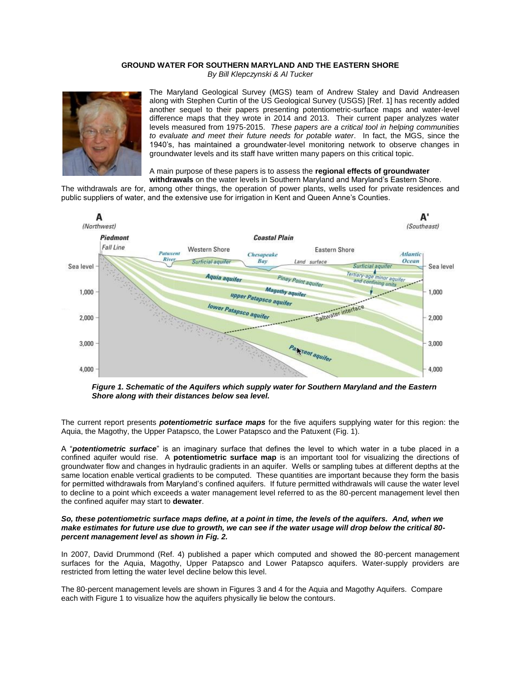## **GROUND WATER FOR SOUTHERN MARYLAND AND THE EASTERN SHORE** *By Bill Klepczynski & Al Tucker*



The Maryland Geological Survey (MGS) team of Andrew Staley and David Andreasen along with Stephen Curtin of the US Geological Survey (USGS) [Ref. 1] has recently added another sequel to their papers presenting potentiometric-surface maps and water-level difference maps that they wrote in 2014 and 2013. Their current paper analyzes water levels measured from 1975-2015. *These papers are a critical tool in helping communities to evaluate and meet their future needs for potable water*. In fact, the MGS, since the 1940's, has maintained a groundwater-level monitoring network to observe changes in groundwater levels and its staff have written many papers on this critical topic.

A main purpose of these papers is to assess the **regional effects of groundwater** 

**withdrawals** on the water levels in Southern Maryland and Maryland's Eastern Shore. The withdrawals are for, among other things, the operation of power plants, wells used for private residences and public suppliers of water, and the extensive use for irrigation in Kent and Queen Anne's Counties.



*Figure 1. Schematic of the Aquifers which supply water for Southern Maryland and the Eastern Shore along with their distances below sea level.*

The current report presents *potentiometric surface maps* for the five aquifers supplying water for this region: the Aquia, the Magothy, the Upper Patapsco, the Lower Patapsco and the Patuxent (Fig. 1).

A "*potentiometric surface*" is an imaginary surface that defines the level to which water in a tube placed in a confined aquifer would rise. A **potentiometric surface map** is an important tool for visualizing the directions of groundwater flow and changes in hydraulic gradients in an aquifer. Wells or sampling tubes at different depths at the same location enable vertical gradients to be computed. These quantities are important because they form the basis for permitted withdrawals from Maryland's confined aquifers. If future permitted withdrawals will cause the water level to decline to a point which exceeds a water management level referred to as the 80-percent management level then the confined aquifer may start to **dewater**.

## *So, these potentiometric surface maps define, at a point in time, the levels of the aquifers. And, when we make estimates for future use due to growth, we can see if the water usage will drop below the critical 80 percent management level as shown in Fig. 2.*

In 2007, David Drummond (Ref. 4) published a paper which computed and showed the 80-percent management surfaces for the Aquia, Magothy, Upper Patapsco and Lower Patapsco aquifers. Water-supply providers are restricted from letting the water level decline below this level.

The 80-percent management levels are shown in Figures 3 and 4 for the Aquia and Magothy Aquifers. Compare each with Figure 1 to visualize how the aquifers physically lie below the contours.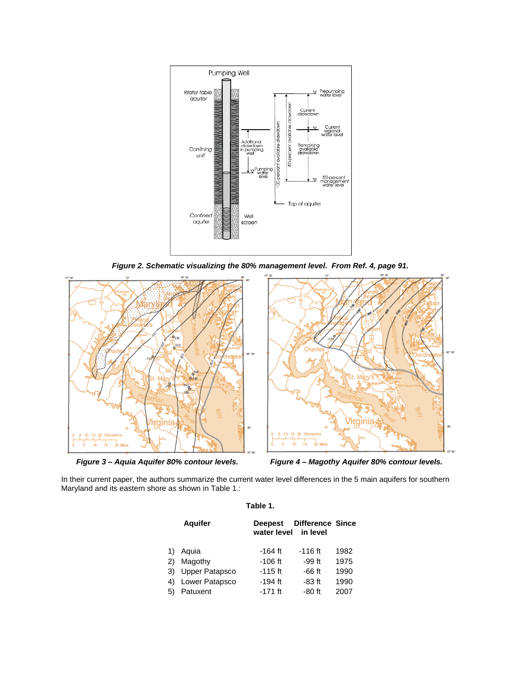

*Figure 2. Schematic visualizing the 80% management level. From Ref. 4, page 91.*



 *Figure 3 – Aquia Aquifer 80% contour levels. Figure 4 – Magothy Aquifer 80% contour levels.*

In their current paper, the authors summarize the current water level differences in the 5 main aquifers for southern Maryland and its eastern shore as shown in Table 1.:

|                            | <b>Aguifer</b>                                                   | water level in level                                        | Deepest Difference Since                                  |                                      |
|----------------------------|------------------------------------------------------------------|-------------------------------------------------------------|-----------------------------------------------------------|--------------------------------------|
| 1)<br>2)<br>3)<br>4)<br>5) | Aquia<br>Magothy<br>Upper Patapsco<br>Lower Patapsco<br>Patuxent | -164 ft<br>$-106$ ft<br>$-115$ ft<br>$-194$ ft<br>$-171$ ft | $-116$ ft<br>$-99$ ft<br>$-66$ ft<br>$-83$ ft<br>$-80$ ft | 1982<br>1975<br>1990<br>1990<br>2007 |

## **Table 1.**